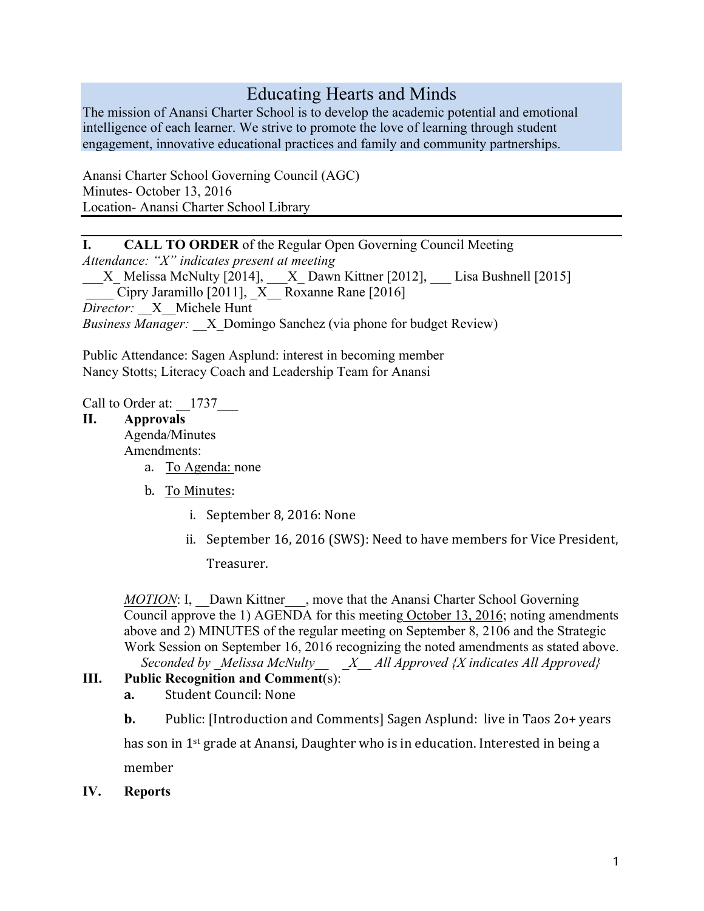# Educating Hearts and Minds

The mission of Anansi Charter School is to develop the academic potential and emotional intelligence of each learner. We strive to promote the love of learning through student engagement, innovative educational practices and family and community partnerships.

Anansi Charter School Governing Council (AGC) Minutes- October 13, 2016 Location- Anansi Charter School Library

## I. CALL TO ORDER of the Regular Open Governing Council Meeting

*Attendance: "X" indicates present at meeting*

 $\_X\_$  Melissa McNulty [2014],  $\_\_X\_$  Dawn Kittner [2012],  $\_\_$  Lisa Bushnell [2015] *\_\_\_\_* Cipry Jaramillo [2011], \_X\_\_ Roxanne Rane [2016] *Director:* \_\_X\_\_Michele Hunt *Business Manager:* X Domingo Sanchez (via phone for budget Review)

Public Attendance: Sagen Asplund: interest in becoming member Nancy Stotts; Literacy Coach and Leadership Team for Anansi

Call to Order at:  $1737$ 

#### II. Approvals

Agenda/Minutes Amendments:

- a. To Agenda: none
- b. To Minutes:
	- i. September 8, 2016: None
	- ii. September 16, 2016 (SWS): Need to have members for Vice President,

Treasurer. 

*MOTION*: I, Dawn Kittner , move that the Anansi Charter School Governing Council approve the 1) AGENDA for this meeting October 13, 2016; noting amendments above and 2) MINUTES of the regular meeting on September 8, 2106 and the Strategic Work Session on September 16, 2016 recognizing the noted amendments as stated above.

 *Seconded by \_Melissa McNulty\_\_ \_X\_\_ All Approved {X indicates All Approved}*

## III. Public Recognition and Comment(s):

- **a.** Student Council: None
- **b.** Public: [Introduction and Comments] Sagen Asplund: live in Taos 20+ years

has son in  $1^{st}$  grade at Anansi, Daughter who is in education. Interested in being a member 

IV. Reports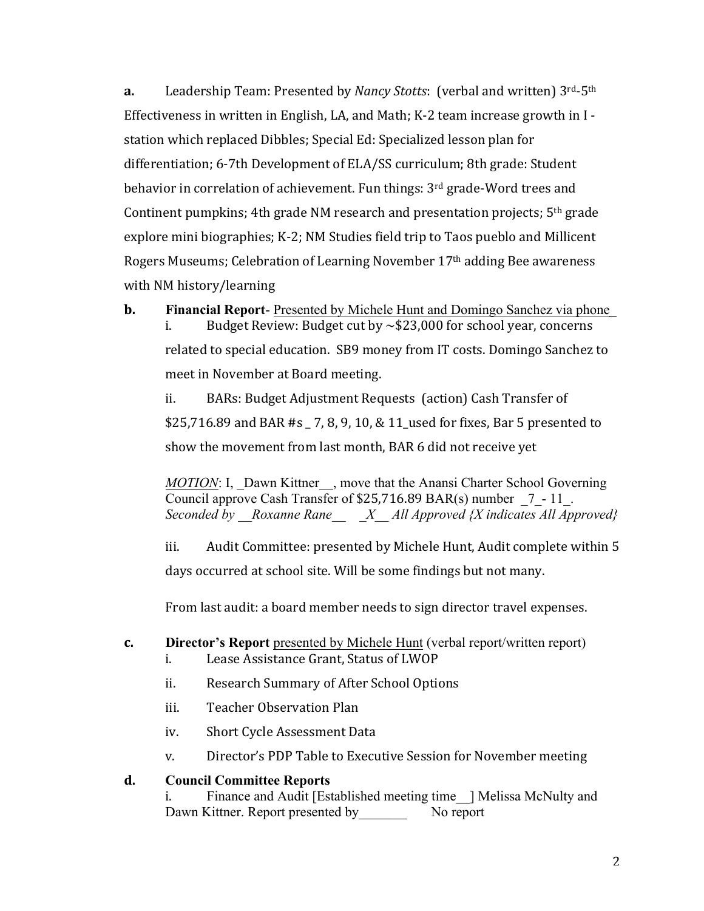**a.** Leadership Team: Presented by *Nancy Stotts*: (verbal and written)  $3^{rd}$ -5<sup>th</sup> Effectiveness in written in English, LA, and Math; K-2 team increase growth in  $I - I$ station which replaced Dibbles; Special Ed: Specialized lesson plan for differentiation; 6-7th Development of ELA/SS curriculum; 8th grade: Student behavior in correlation of achievement. Fun things: 3<sup>rd</sup> grade-Word trees and Continent pumpkins; 4th grade NM research and presentation projects;  $5<sup>th</sup>$  grade explore mini biographies; K-2; NM Studies field trip to Taos pueblo and Millicent Rogers Museums; Celebration of Learning November  $17<sup>th</sup>$  adding Bee awareness with NM history/learning

**b.** Financial Report-Presented by Michele Hunt and Domingo Sanchez via phone

i. Budget Review: Budget cut by  $\sim$  \$23,000 for school year, concerns related to special education. SB9 money from IT costs. Domingo Sanchez to meet in November at Board meeting.

ii. BARs: Budget Adjustment Requests (action) Cash Transfer of \$25,716.89 and BAR #s  $-$  7, 8, 9, 10, & 11 used for fixes, Bar 5 presented to show the movement from last month, BAR 6 did not receive yet

*MOTION*: I, Dawn Kittner , move that the Anansi Charter School Governing Council approve Cash Transfer of  $$25,716.89$  BAR(s) number  $7 - 11$ . *Seconded by \_\_Roxanne Rane\_\_ \_X\_\_ All Approved {X indicates All Approved}*

iii. Audit Committee: presented by Michele Hunt, Audit complete within 5 days occurred at school site. Will be some findings but not many.

From last audit: a board member needs to sign director travel expenses.

## **c.** Director's Report presented by Michele Hunt (verbal report/written report)

- i. Lease Assistance Grant, Status of LWOP
- ii. Research Summary of After School Options
- iii. Teacher Observation Plan
- iv. Short Cycle Assessment Data
- v. Director's PDP Table to Executive Session for November meeting

#### **d.** Council Committee Reports

i. Finance and Audit [Established meeting time | Melissa McNulty and Dawn Kittner. Report presented by No report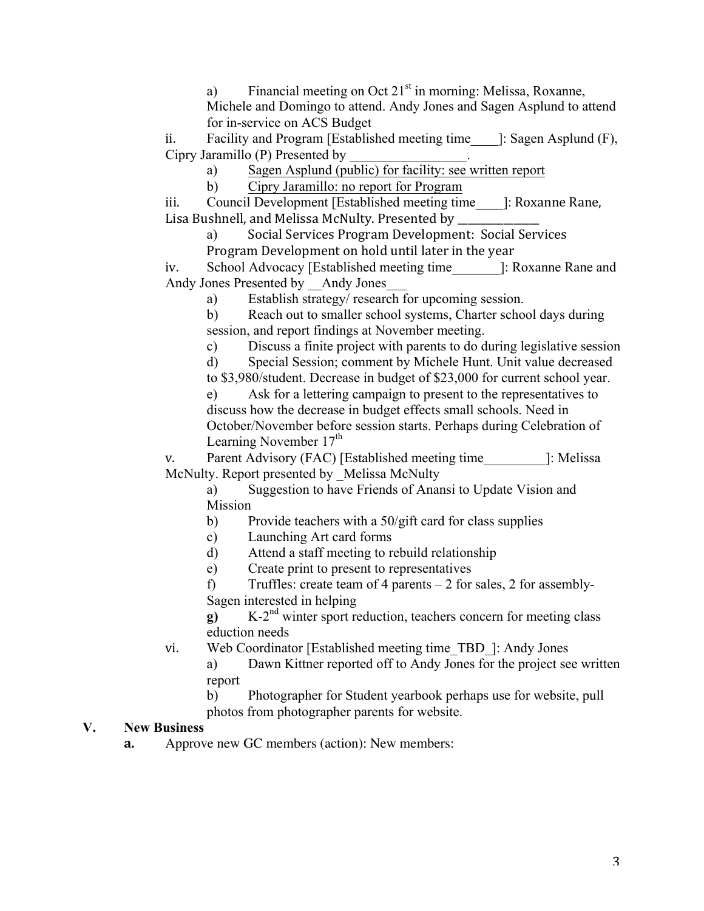a) Financial meeting on Oct  $21<sup>st</sup>$  in morning: Melissa, Roxanne, Michele and Domingo to attend. Andy Jones and Sagen Asplund to attend for in-service on ACS Budget

ii. Facility and Program [Established meeting time\_\_\_\_]: Sagen Asplund (F), Cipry Jaramillo (P) Presented by

a) Sagen Asplund (public) for facility: see written report

b) Cipry Jaramillo: no report for Program

iii. Council Development [Established meeting time 1: Roxanne Rane, Lisa Bushnell, and Melissa McNulty. Presented by \_\_\_\_\_\_

a) Social Services Program Development: Social Services Program Development on hold until later in the year

iv. School Advocacy [Established meeting time\_\_\_\_\_\_\_]: Roxanne Rane and Andy Jones Presented by Andy Jones

a) Establish strategy/ research for upcoming session.

b) Reach out to smaller school systems, Charter school days during session, and report findings at November meeting.

c) Discuss a finite project with parents to do during legislative session

d) Special Session; comment by Michele Hunt. Unit value decreased

to \$3,980/student. Decrease in budget of \$23,000 for current school year.

e) Ask for a lettering campaign to present to the representatives to discuss how the decrease in budget effects small schools. Need in October/November before session starts. Perhaps during Celebration of Learning November  $17<sup>th</sup>$ 

v. Parent Advisory (FAC) [Established meeting time [: Melissa] McNulty. Report presented by Melissa McNulty

a) Suggestion to have Friends of Anansi to Update Vision and Mission

b) Provide teachers with a 50/gift card for class supplies

- c) Launching Art card forms
- d) Attend a staff meeting to rebuild relationship
- e) Create print to present to representatives

f) Truffles: create team of 4 parents – 2 for sales, 2 for assembly-Sagen interested in helping

g) K-2<sup>nd</sup> winter sport reduction, teachers concern for meeting class eduction needs

vi. Web Coordinator [Established meeting time\_TBD\_]: Andy Jones

a) Dawn Kittner reported off to Andy Jones for the project see written report

b) Photographer for Student yearbook perhaps use for website, pull photos from photographer parents for website.

## V. New Business

**a.** Approve new GC members (action): New members: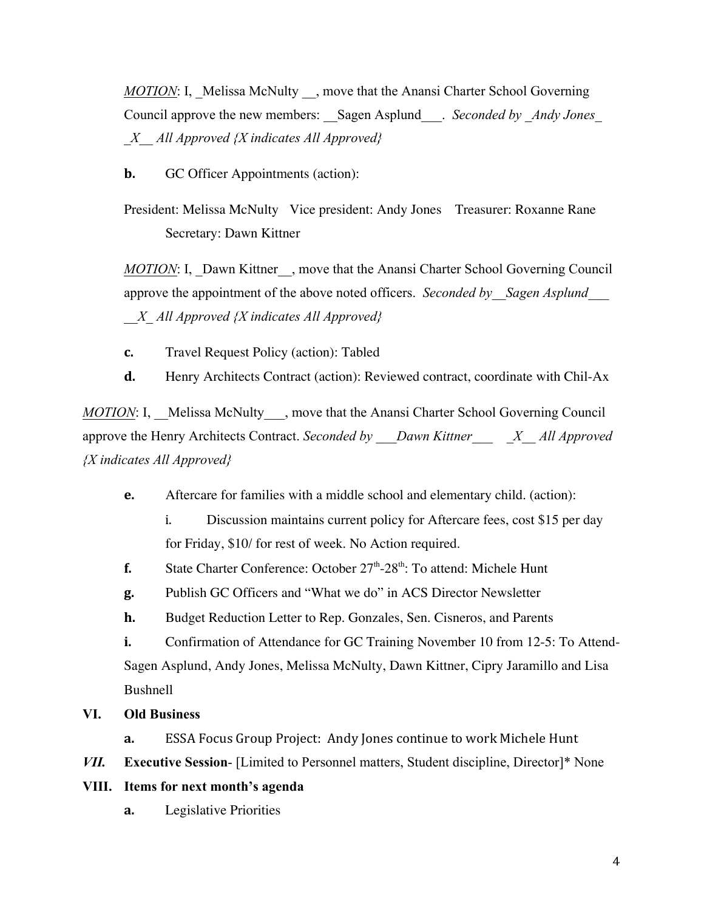*MOTION*: I, Melissa McNulty , move that the Anansi Charter School Governing Council approve the new members: Sagen Asplund . *Seconded by Andy Jones \_X\_\_ All Approved {X indicates All Approved}*

**b.** GC Officer Appointments (action):

President: Melissa McNulty Vice president: Andy Jones Treasurer: Roxanne Rane Secretary: Dawn Kittner

*MOTION*: I, Dawn Kittner , move that the Anansi Charter School Governing Council approve the appointment of the above noted officers. *Seconded by Sagen Asplund \_\_X\_ All Approved {X indicates All Approved}*

**c.** Travel Request Policy (action): Tabled

**d.** Henry Architects Contract (action): Reviewed contract, coordinate with Chil-Ax

*MOTION*: I, Melissa McNulty, move that the Anansi Charter School Governing Council approve the Henry Architects Contract. *Seconded by \_\_\_Dawn Kittner\_\_\_ \_X\_\_ All Approved {X indicates All Approved}*

**e.** Aftercare for families with a middle school and elementary child. (action):

i. Discussion maintains current policy for Aftercare fees, cost \$15 per day for Friday, \$10/ for rest of week. No Action required.

**f.** State Charter Conference: October 27<sup>th</sup>-28<sup>th</sup>: To attend: Michele Hunt

**g.** Publish GC Officers and "What we do" in ACS Director Newsletter

**h.** Budget Reduction Letter to Rep. Gonzales, Sen. Cisneros, and Parents

**i.** Confirmation of Attendance for GC Training November 10 from 12-5: To Attend-Sagen Asplund, Andy Jones, Melissa McNulty, Dawn Kittner, Cipry Jaramillo and Lisa Bushnell

## VI. Old Business

**a.** ESSA Focus Group Project: Andy Jones continue to work Michele Hunt

*VII.* Executive Session- [Limited to Personnel matters, Student discipline, Director]\* None

#### VIII. Items for next month's agenda

**a.** Legislative Priorities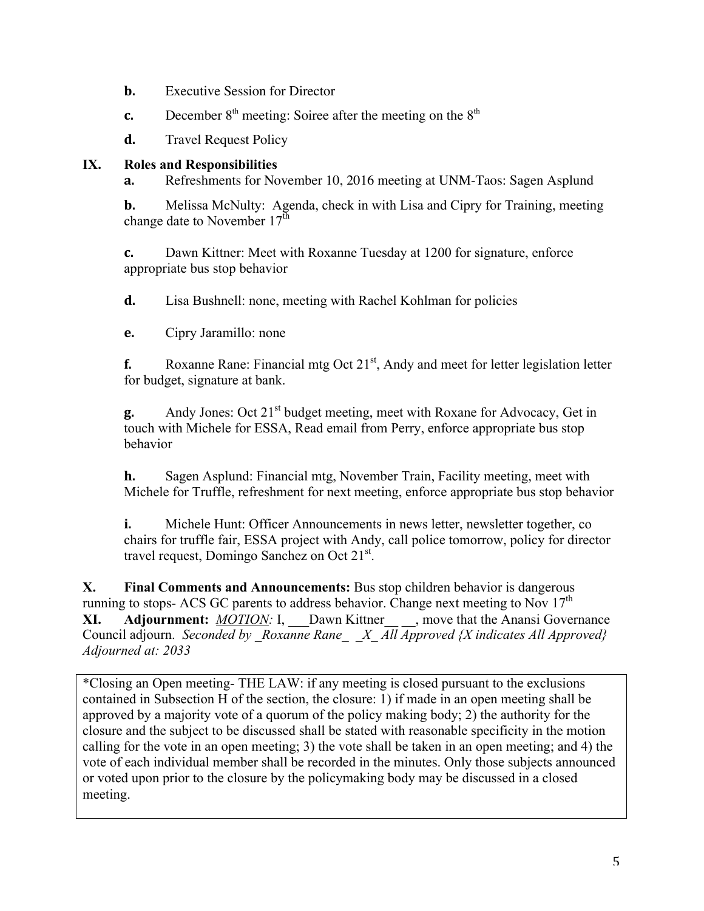- **b.** Executive Session for Director
- **c.** December  $8<sup>th</sup>$  meeting: Soiree after the meeting on the  $8<sup>th</sup>$
- **d.** Travel Request Policy

### IX. Roles and Responsibilities

**a.** Refreshments for November 10, 2016 meeting at UNM-Taos: Sagen Asplund

**b.** Melissa McNulty: Agenda, check in with Lisa and Cipry for Training, meeting change date to November  $17<sup>th</sup>$ 

**c.** Dawn Kittner: Meet with Roxanne Tuesday at 1200 for signature, enforce appropriate bus stop behavior

**d.** Lisa Bushnell: none, meeting with Rachel Kohlman for policies

**e.** Cipry Jaramillo: none

**f.** Roxanne Rane: Financial mtg Oct 21<sup>st</sup>, Andy and meet for letter legislation letter for budget, signature at bank.

**g.** Andy Jones: Oct 21<sup>st</sup> budget meeting, meet with Roxane for Advocacy, Get in touch with Michele for ESSA, Read email from Perry, enforce appropriate bus stop behavior

**h.** Sagen Asplund: Financial mtg, November Train, Facility meeting, meet with Michele for Truffle, refreshment for next meeting, enforce appropriate bus stop behavior

**i.** Michele Hunt: Officer Announcements in news letter, newsletter together, co chairs for truffle fair, ESSA project with Andy, call police tomorrow, policy for director travel request, Domingo Sanchez on Oct 21<sup>st</sup>.

X. Final Comments and Announcements: Bus stop children behavior is dangerous running to stops- ACS GC parents to address behavior. Change next meeting to Nov  $17<sup>th</sup>$ XI. Adjournment: *MOTION:* I, Dawn Kittner, move that the Anansi Governance Council adjourn. *Seconded by Roxanne Rane* X All Approved {X indicates All Approved} *Adjourned at: 2033*

\*Closing an Open meeting- THE LAW: if any meeting is closed pursuant to the exclusions contained in Subsection H of the section, the closure: 1) if made in an open meeting shall be approved by a majority vote of a quorum of the policy making body; 2) the authority for the closure and the subject to be discussed shall be stated with reasonable specificity in the motion calling for the vote in an open meeting; 3) the vote shall be taken in an open meeting; and 4) the vote of each individual member shall be recorded in the minutes. Only those subjects announced or voted upon prior to the closure by the policymaking body may be discussed in a closed meeting.